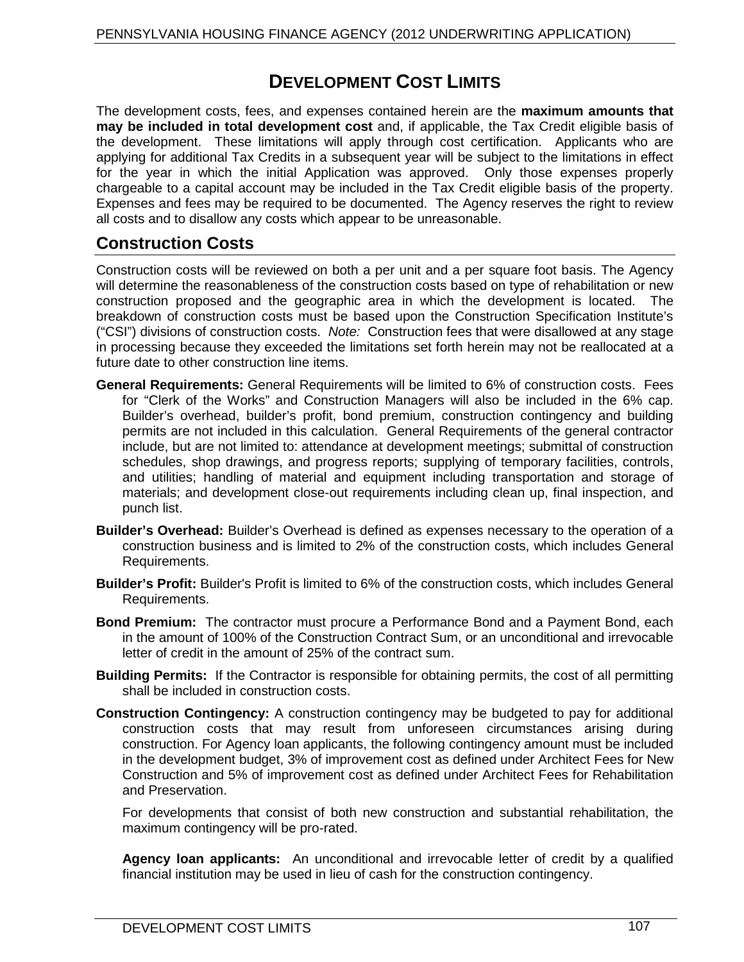# **DEVELOPMENT COST LIMITS**

The development costs, fees, and expenses contained herein are the **maximum amounts that may be included in total development cost** and, if applicable, the Tax Credit eligible basis of the development. These limitations will apply through cost certification. Applicants who are applying for additional Tax Credits in a subsequent year will be subject to the limitations in effect for the year in which the initial Application was approved. Only those expenses properly chargeable to a capital account may be included in the Tax Credit eligible basis of the property. Expenses and fees may be required to be documented. The Agency reserves the right to review all costs and to disallow any costs which appear to be unreasonable.

## **Construction Costs**

Construction costs will be reviewed on both a per unit and a per square foot basis. The Agency will determine the reasonableness of the construction costs based on type of rehabilitation or new construction proposed and the geographic area in which the development is located. The breakdown of construction costs must be based upon the Construction Specification Institute's ("CSI") divisions of construction costs. *Note:* Construction fees that were disallowed at any stage in processing because they exceeded the limitations set forth herein may not be reallocated at a future date to other construction line items.

- **General Requirements:** General Requirements will be limited to 6% of construction costs. Fees for "Clerk of the Works" and Construction Managers will also be included in the 6% cap. Builder's overhead, builder's profit, bond premium, construction contingency and building permits are not included in this calculation. General Requirements of the general contractor include, but are not limited to: attendance at development meetings; submittal of construction schedules, shop drawings, and progress reports; supplying of temporary facilities, controls, and utilities; handling of material and equipment including transportation and storage of materials; and development close-out requirements including clean up, final inspection, and punch list.
- **Builder's Overhead:** Builder's Overhead is defined as expenses necessary to the operation of a construction business and is limited to 2% of the construction costs, which includes General Requirements.
- **Builder's Profit:** Builder's Profit is limited to 6% of the construction costs, which includes General Requirements.
- **Bond Premium:** The contractor must procure a Performance Bond and a Payment Bond, each in the amount of 100% of the Construction Contract Sum, or an unconditional and irrevocable letter of credit in the amount of 25% of the contract sum.
- **Building Permits:** If the Contractor is responsible for obtaining permits, the cost of all permitting shall be included in construction costs.
- **Construction Contingency:** A construction contingency may be budgeted to pay for additional construction costs that may result from unforeseen circumstances arising during construction. For Agency loan applicants, the following contingency amount must be included in the development budget, 3% of improvement cost as defined under Architect Fees for New Construction and 5% of improvement cost as defined under Architect Fees for Rehabilitation and Preservation.

For developments that consist of both new construction and substantial rehabilitation, the maximum contingency will be pro-rated.

**Agency loan applicants:** An unconditional and irrevocable letter of credit by a qualified financial institution may be used in lieu of cash for the construction contingency.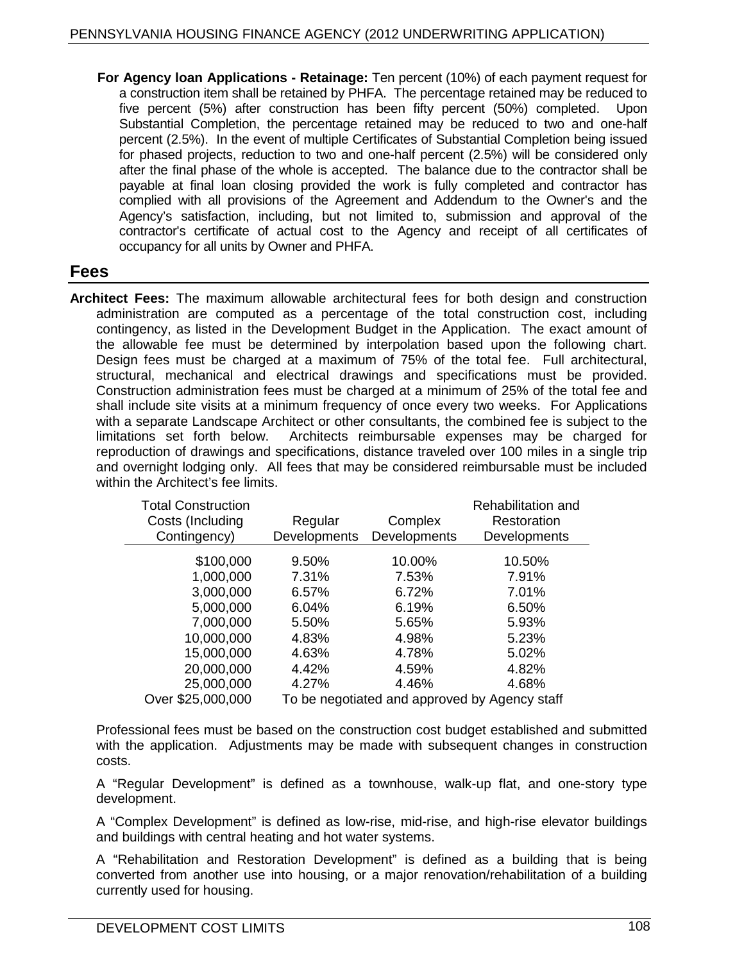**For Agency loan Applications - Retainage:** Ten percent (10%) of each payment request for a construction item shall be retained by PHFA. The percentage retained may be reduced to five percent (5%) after construction has been fifty percent (50%) completed. Upon Substantial Completion, the percentage retained may be reduced to two and one-half percent (2.5%). In the event of multiple Certificates of Substantial Completion being issued for phased projects, reduction to two and one-half percent (2.5%) will be considered only after the final phase of the whole is accepted. The balance due to the contractor shall be payable at final loan closing provided the work is fully completed and contractor has complied with all provisions of the Agreement and Addendum to the Owner's and the Agency's satisfaction, including, but not limited to, submission and approval of the contractor's certificate of actual cost to the Agency and receipt of all certificates of occupancy for all units by Owner and PHFA.

#### **Fees**

**Architect Fees:** The maximum allowable architectural fees for both design and construction administration are computed as a percentage of the total construction cost, including contingency, as listed in the Development Budget in the Application. The exact amount of the allowable fee must be determined by interpolation based upon the following chart. Design fees must be charged at a maximum of 75% of the total fee. Full architectural, structural, mechanical and electrical drawings and specifications must be provided. Construction administration fees must be charged at a minimum of 25% of the total fee and shall include site visits at a minimum frequency of once every two weeks. For Applications with a separate Landscape Architect or other consultants, the combined fee is subject to the limitations set forth below. Architects reimbursable expenses may be charged for Architects reimbursable expenses may be charged for reproduction of drawings and specifications, distance traveled over 100 miles in a single trip and overnight lodging only. All fees that may be considered reimbursable must be included within the Architect's fee limits.

| <b>Total Construction</b><br>Costs (Including | Regular                                       | Complex      | Rehabilitation and<br>Restoration |
|-----------------------------------------------|-----------------------------------------------|--------------|-----------------------------------|
| Contingency)                                  | <b>Developments</b>                           | Developments | Developments                      |
| \$100,000                                     | 9.50%                                         | 10.00%       | 10.50%                            |
| 1,000,000                                     | 7.31%                                         | 7.53%        | 7.91%                             |
| 3,000,000                                     | 6.57%                                         | 6.72%        | 7.01%                             |
| 5,000,000                                     | 6.04%                                         | 6.19%        | 6.50%                             |
| 7,000,000                                     | 5.50%                                         | 5.65%        | 5.93%                             |
| 10,000,000                                    | 4.83%                                         | 4.98%        | 5.23%                             |
| 15,000,000                                    | 4.63%                                         | 4.78%        | 5.02%                             |
| 20,000,000                                    | 4.42%                                         | 4.59%        | 4.82%                             |
| 25,000,000                                    | 4.27%                                         | 4.46%        | 4.68%                             |
| Over \$25,000,000                             | To be negotiated and approved by Agency staff |              |                                   |

Professional fees must be based on the construction cost budget established and submitted with the application. Adjustments may be made with subsequent changes in construction costs.

A "Regular Development" is defined as a townhouse, walk-up flat, and one-story type development.

A "Complex Development" is defined as low-rise, mid-rise, and high-rise elevator buildings and buildings with central heating and hot water systems.

A "Rehabilitation and Restoration Development" is defined as a building that is being converted from another use into housing, or a major renovation/rehabilitation of a building currently used for housing.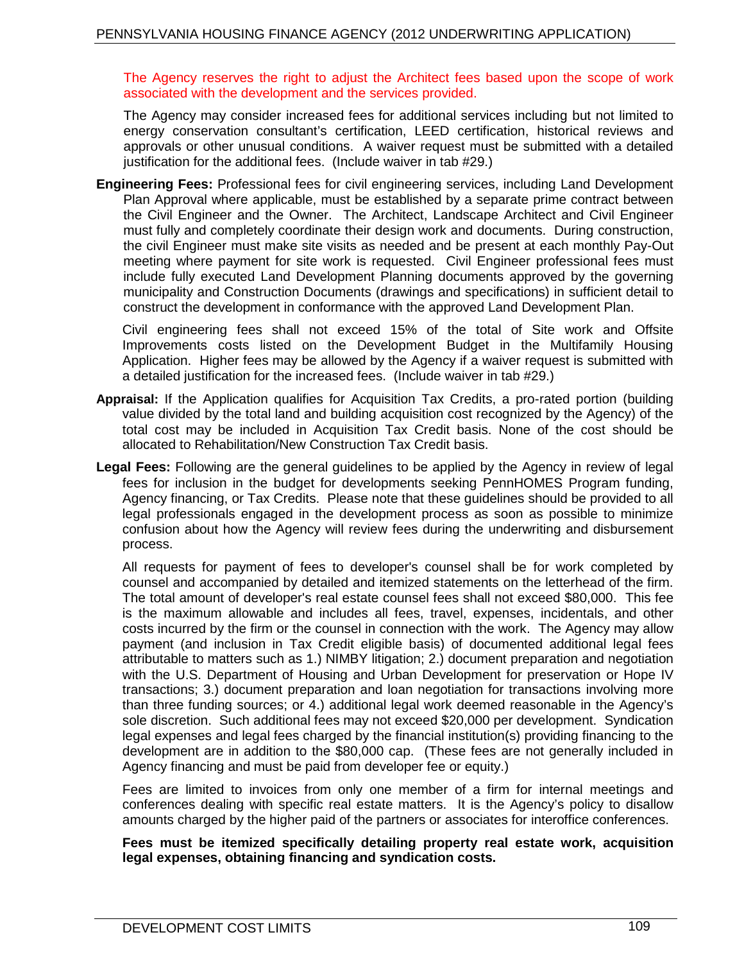The Agency reserves the right to adjust the Architect fees based upon the scope of work associated with the development and the services provided.

The Agency may consider increased fees for additional services including but not limited to energy conservation consultant's certification, LEED certification, historical reviews and approvals or other unusual conditions. A waiver request must be submitted with a detailed justification for the additional fees. (Include waiver in tab #29.)

**Engineering Fees:** Professional fees for civil engineering services, including Land Development Plan Approval where applicable, must be established by a separate prime contract between the Civil Engineer and the Owner. The Architect, Landscape Architect and Civil Engineer must fully and completely coordinate their design work and documents. During construction, the civil Engineer must make site visits as needed and be present at each monthly Pay-Out meeting where payment for site work is requested. Civil Engineer professional fees must include fully executed Land Development Planning documents approved by the governing municipality and Construction Documents (drawings and specifications) in sufficient detail to construct the development in conformance with the approved Land Development Plan.

Civil engineering fees shall not exceed 15% of the total of Site work and Offsite Improvements costs listed on the Development Budget in the Multifamily Housing Application. Higher fees may be allowed by the Agency if a waiver request is submitted with a detailed justification for the increased fees. (Include waiver in tab #29.)

- **Appraisal:** If the Application qualifies for Acquisition Tax Credits, a pro-rated portion (building value divided by the total land and building acquisition cost recognized by the Agency) of the total cost may be included in Acquisition Tax Credit basis. None of the cost should be allocated to Rehabilitation/New Construction Tax Credit basis.
- **Legal Fees:** Following are the general guidelines to be applied by the Agency in review of legal fees for inclusion in the budget for developments seeking PennHOMES Program funding, Agency financing, or Tax Credits. Please note that these guidelines should be provided to all legal professionals engaged in the development process as soon as possible to minimize confusion about how the Agency will review fees during the underwriting and disbursement process.

All requests for payment of fees to developer's counsel shall be for work completed by counsel and accompanied by detailed and itemized statements on the letterhead of the firm. The total amount of developer's real estate counsel fees shall not exceed \$80,000. This fee is the maximum allowable and includes all fees, travel, expenses, incidentals, and other costs incurred by the firm or the counsel in connection with the work. The Agency may allow payment (and inclusion in Tax Credit eligible basis) of documented additional legal fees attributable to matters such as 1.) NIMBY litigation; 2.) document preparation and negotiation with the U.S. Department of Housing and Urban Development for preservation or Hope IV transactions; 3.) document preparation and loan negotiation for transactions involving more than three funding sources; or 4.) additional legal work deemed reasonable in the Agency's sole discretion. Such additional fees may not exceed \$20,000 per development. Syndication legal expenses and legal fees charged by the financial institution(s) providing financing to the development are in addition to the \$80,000 cap. (These fees are not generally included in Agency financing and must be paid from developer fee or equity.)

Fees are limited to invoices from only one member of a firm for internal meetings and conferences dealing with specific real estate matters. It is the Agency's policy to disallow amounts charged by the higher paid of the partners or associates for interoffice conferences.

#### **Fees must be itemized specifically detailing property real estate work, acquisition legal expenses, obtaining financing and syndication costs.**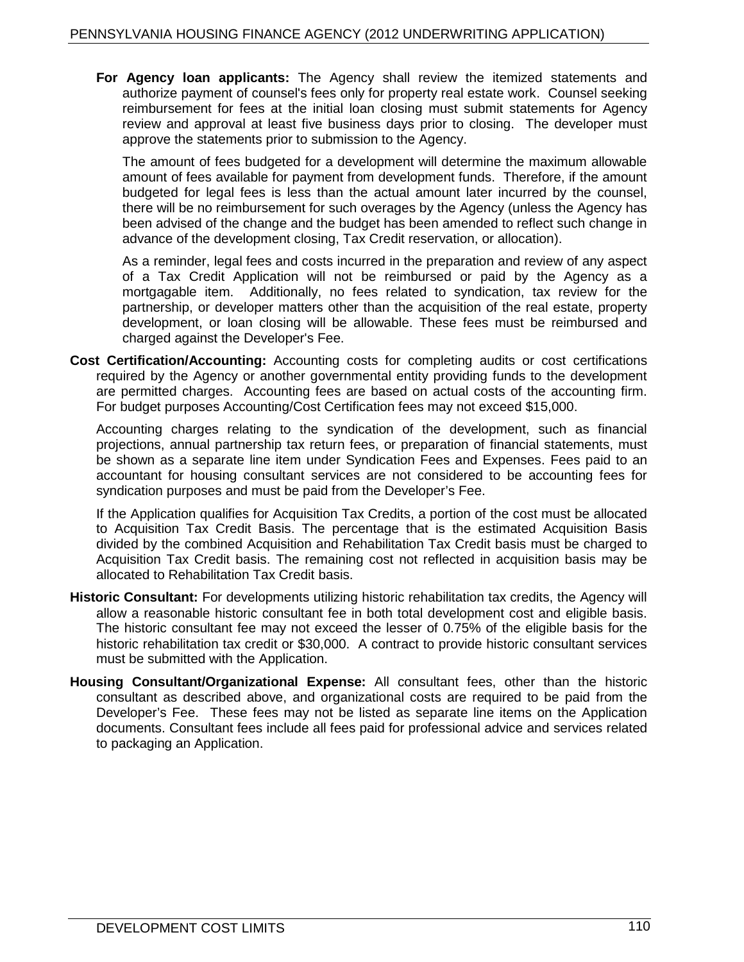**For Agency loan applicants:** The Agency shall review the itemized statements and authorize payment of counsel's fees only for property real estate work. Counsel seeking reimbursement for fees at the initial loan closing must submit statements for Agency review and approval at least five business days prior to closing. The developer must approve the statements prior to submission to the Agency.

The amount of fees budgeted for a development will determine the maximum allowable amount of fees available for payment from development funds. Therefore, if the amount budgeted for legal fees is less than the actual amount later incurred by the counsel, there will be no reimbursement for such overages by the Agency (unless the Agency has been advised of the change and the budget has been amended to reflect such change in advance of the development closing, Tax Credit reservation, or allocation).

As a reminder, legal fees and costs incurred in the preparation and review of any aspect of a Tax Credit Application will not be reimbursed or paid by the Agency as a mortgagable item. Additionally, no fees related to syndication, tax review for the partnership, or developer matters other than the acquisition of the real estate, property development, or loan closing will be allowable. These fees must be reimbursed and charged against the Developer's Fee.

**Cost Certification/Accounting:** Accounting costs for completing audits or cost certifications required by the Agency or another governmental entity providing funds to the development are permitted charges. Accounting fees are based on actual costs of the accounting firm. For budget purposes Accounting/Cost Certification fees may not exceed \$15,000.

Accounting charges relating to the syndication of the development, such as financial projections, annual partnership tax return fees, or preparation of financial statements, must be shown as a separate line item under Syndication Fees and Expenses. Fees paid to an accountant for housing consultant services are not considered to be accounting fees for syndication purposes and must be paid from the Developer's Fee.

If the Application qualifies for Acquisition Tax Credits, a portion of the cost must be allocated to Acquisition Tax Credit Basis. The percentage that is the estimated Acquisition Basis divided by the combined Acquisition and Rehabilitation Tax Credit basis must be charged to Acquisition Tax Credit basis. The remaining cost not reflected in acquisition basis may be allocated to Rehabilitation Tax Credit basis.

- **Historic Consultant:** For developments utilizing historic rehabilitation tax credits, the Agency will allow a reasonable historic consultant fee in both total development cost and eligible basis. The historic consultant fee may not exceed the lesser of 0.75% of the eligible basis for the historic rehabilitation tax credit or \$30,000. A contract to provide historic consultant services must be submitted with the Application.
- **Housing Consultant/Organizational Expense:** All consultant fees, other than the historic consultant as described above, and organizational costs are required to be paid from the Developer's Fee. These fees may not be listed as separate line items on the Application documents. Consultant fees include all fees paid for professional advice and services related to packaging an Application.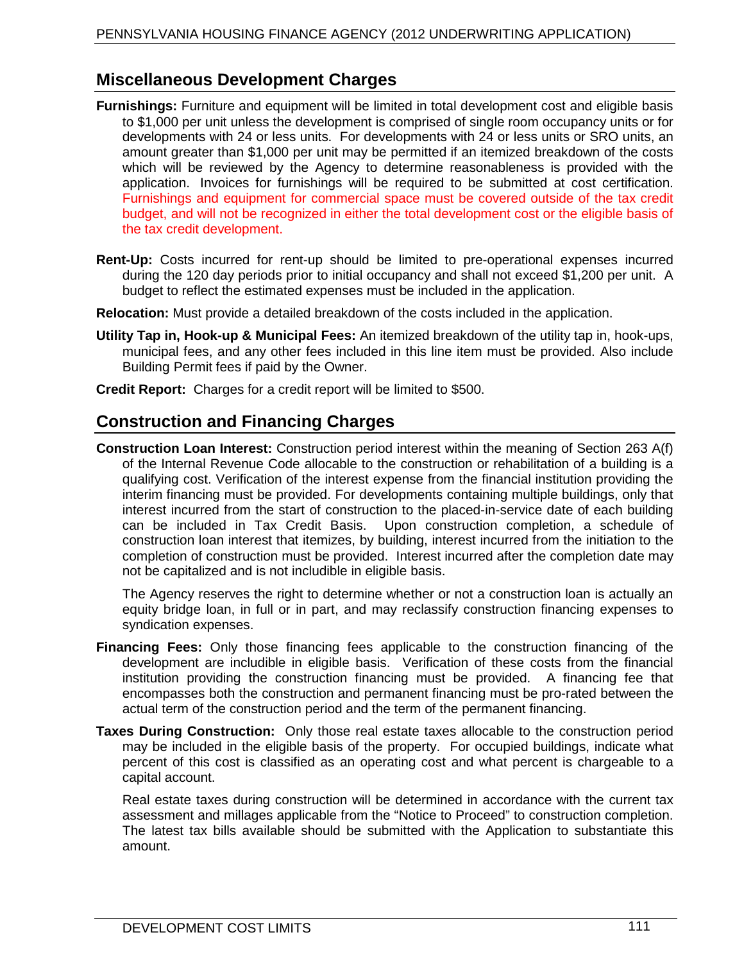## **Miscellaneous Development Charges**

- **Furnishings:** Furniture and equipment will be limited in total development cost and eligible basis to \$1,000 per unit unless the development is comprised of single room occupancy units or for developments with 24 or less units. For developments with 24 or less units or SRO units, an amount greater than \$1,000 per unit may be permitted if an itemized breakdown of the costs which will be reviewed by the Agency to determine reasonableness is provided with the application. Invoices for furnishings will be required to be submitted at cost certification. Furnishings and equipment for commercial space must be covered outside of the tax credit budget, and will not be recognized in either the total development cost or the eligible basis of the tax credit development.
- **Rent-Up:** Costs incurred for rent-up should be limited to pre-operational expenses incurred during the 120 day periods prior to initial occupancy and shall not exceed \$1,200 per unit. A budget to reflect the estimated expenses must be included in the application.
- **Relocation:** Must provide a detailed breakdown of the costs included in the application.
- **Utility Tap in, Hook-up & Municipal Fees:** An itemized breakdown of the utility tap in, hook-ups, municipal fees, and any other fees included in this line item must be provided. Also include Building Permit fees if paid by the Owner.
- **Credit Report:** Charges for a credit report will be limited to \$500.

## **Construction and Financing Charges**

**Construction Loan Interest:** Construction period interest within the meaning of Section 263 A(f) of the Internal Revenue Code allocable to the construction or rehabilitation of a building is a qualifying cost. Verification of the interest expense from the financial institution providing the interim financing must be provided. For developments containing multiple buildings, only that interest incurred from the start of construction to the placed-in-service date of each building can be included in Tax Credit Basis. Upon construction completion, a schedule of construction loan interest that itemizes, by building, interest incurred from the initiation to the completion of construction must be provided. Interest incurred after the completion date may not be capitalized and is not includible in eligible basis.

The Agency reserves the right to determine whether or not a construction loan is actually an equity bridge loan, in full or in part, and may reclassify construction financing expenses to syndication expenses.

- **Financing Fees:** Only those financing fees applicable to the construction financing of the development are includible in eligible basis. Verification of these costs from the financial institution providing the construction financing must be provided. A financing fee that encompasses both the construction and permanent financing must be pro-rated between the actual term of the construction period and the term of the permanent financing.
- **Taxes During Construction:** Only those real estate taxes allocable to the construction period may be included in the eligible basis of the property. For occupied buildings, indicate what percent of this cost is classified as an operating cost and what percent is chargeable to a capital account.

Real estate taxes during construction will be determined in accordance with the current tax assessment and millages applicable from the "Notice to Proceed" to construction completion. The latest tax bills available should be submitted with the Application to substantiate this amount.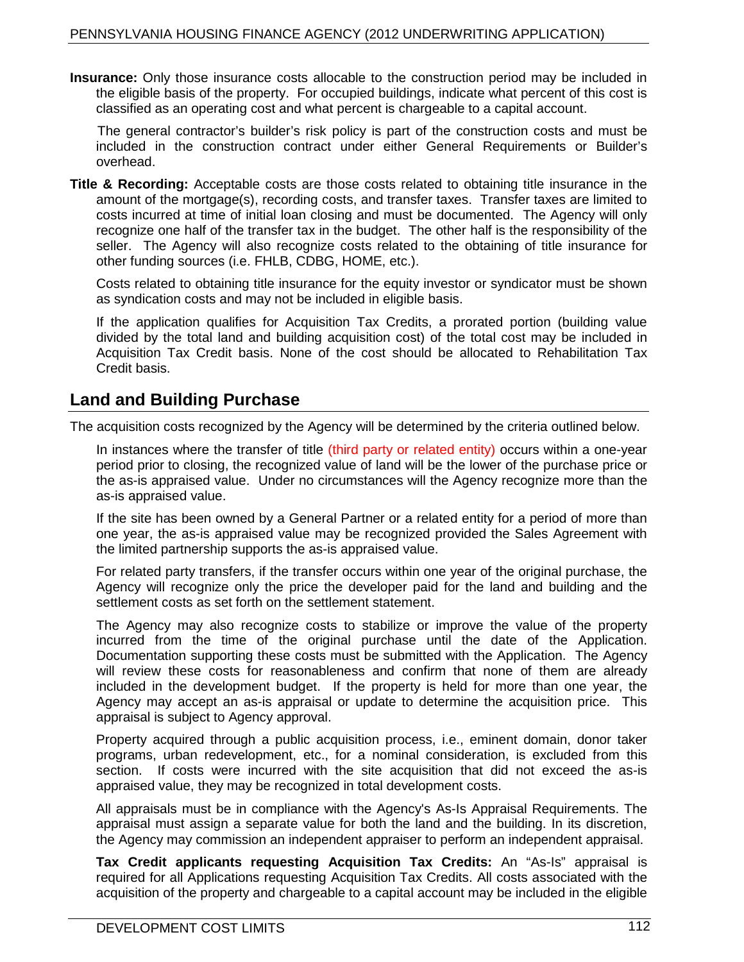**Insurance:** Only those insurance costs allocable to the construction period may be included in the eligible basis of the property. For occupied buildings, indicate what percent of this cost is classified as an operating cost and what percent is chargeable to a capital account.

The general contractor's builder's risk policy is part of the construction costs and must be included in the construction contract under either General Requirements or Builder's overhead.

**Title & Recording:** Acceptable costs are those costs related to obtaining title insurance in the amount of the mortgage(s), recording costs, and transfer taxes. Transfer taxes are limited to costs incurred at time of initial loan closing and must be documented. The Agency will only recognize one half of the transfer tax in the budget. The other half is the responsibility of the seller. The Agency will also recognize costs related to the obtaining of title insurance for other funding sources (i.e. FHLB, CDBG, HOME, etc.).

Costs related to obtaining title insurance for the equity investor or syndicator must be shown as syndication costs and may not be included in eligible basis.

If the application qualifies for Acquisition Tax Credits, a prorated portion (building value divided by the total land and building acquisition cost) of the total cost may be included in Acquisition Tax Credit basis. None of the cost should be allocated to Rehabilitation Tax Credit basis.

## **Land and Building Purchase**

The acquisition costs recognized by the Agency will be determined by the criteria outlined below.

In instances where the transfer of title (third party or related entity) occurs within a one-year period prior to closing, the recognized value of land will be the lower of the purchase price or the as-is appraised value. Under no circumstances will the Agency recognize more than the as-is appraised value.

If the site has been owned by a General Partner or a related entity for a period of more than one year, the as-is appraised value may be recognized provided the Sales Agreement with the limited partnership supports the as-is appraised value.

For related party transfers, if the transfer occurs within one year of the original purchase, the Agency will recognize only the price the developer paid for the land and building and the settlement costs as set forth on the settlement statement.

The Agency may also recognize costs to stabilize or improve the value of the property incurred from the time of the original purchase until the date of the Application. Documentation supporting these costs must be submitted with the Application. The Agency will review these costs for reasonableness and confirm that none of them are already included in the development budget. If the property is held for more than one year, the Agency may accept an as-is appraisal or update to determine the acquisition price. This appraisal is subject to Agency approval.

Property acquired through a public acquisition process, i.e., eminent domain, donor taker programs, urban redevelopment, etc., for a nominal consideration, is excluded from this section. If costs were incurred with the site acquisition that did not exceed the as-is appraised value, they may be recognized in total development costs.

All appraisals must be in compliance with the Agency's As-Is Appraisal Requirements. The appraisal must assign a separate value for both the land and the building. In its discretion, the Agency may commission an independent appraiser to perform an independent appraisal.

**Tax Credit applicants requesting Acquisition Tax Credits:** An "As-Is" appraisal is required for all Applications requesting Acquisition Tax Credits. All costs associated with the acquisition of the property and chargeable to a capital account may be included in the eligible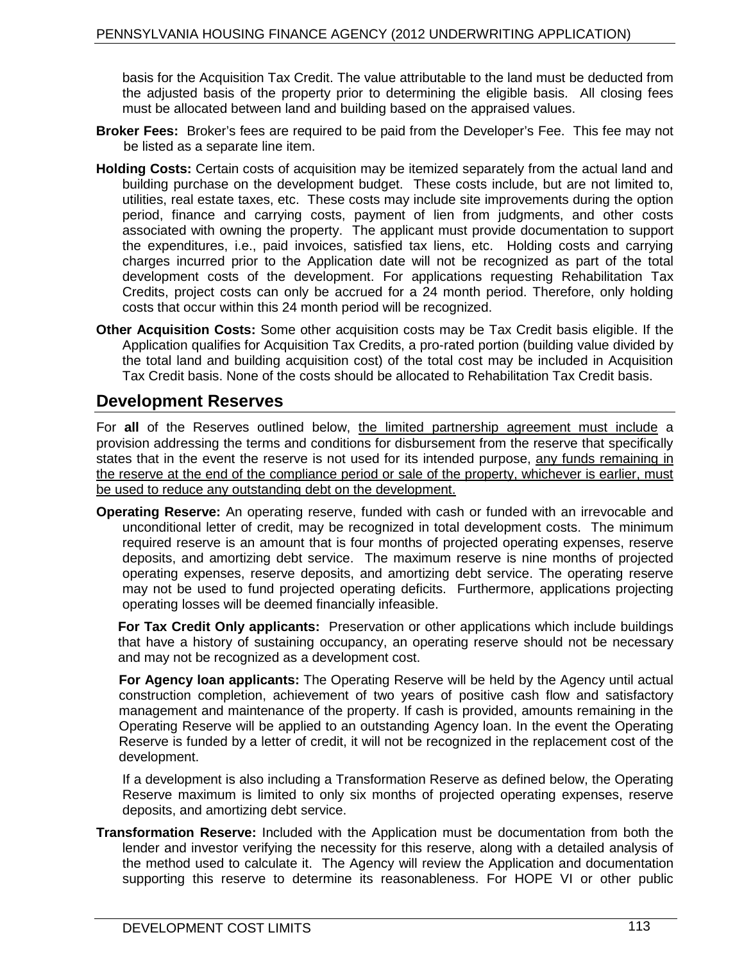basis for the Acquisition Tax Credit. The value attributable to the land must be deducted from the adjusted basis of the property prior to determining the eligible basis. All closing fees must be allocated between land and building based on the appraised values.

- **Broker Fees:** Broker's fees are required to be paid from the Developer's Fee. This fee may not be listed as a separate line item.
- **Holding Costs:** Certain costs of acquisition may be itemized separately from the actual land and building purchase on the development budget. These costs include, but are not limited to, utilities, real estate taxes, etc. These costs may include site improvements during the option period, finance and carrying costs, payment of lien from judgments, and other costs associated with owning the property. The applicant must provide documentation to support the expenditures, i.e., paid invoices, satisfied tax liens, etc. Holding costs and carrying charges incurred prior to the Application date will not be recognized as part of the total development costs of the development. For applications requesting Rehabilitation Tax Credits, project costs can only be accrued for a 24 month period. Therefore, only holding costs that occur within this 24 month period will be recognized.
- **Other Acquisition Costs:** Some other acquisition costs may be Tax Credit basis eligible. If the Application qualifies for Acquisition Tax Credits, a pro-rated portion (building value divided by the total land and building acquisition cost) of the total cost may be included in Acquisition Tax Credit basis. None of the costs should be allocated to Rehabilitation Tax Credit basis.

#### **Development Reserves**

For **all** of the Reserves outlined below, the limited partnership agreement must include a provision addressing the terms and conditions for disbursement from the reserve that specifically states that in the event the reserve is not used for its intended purpose, any funds remaining in the reserve at the end of the compliance period or sale of the property, whichever is earlier, must be used to reduce any outstanding debt on the development.

**Operating Reserve:** An operating reserve, funded with cash or funded with an irrevocable and unconditional letter of credit, may be recognized in total development costs. The minimum required reserve is an amount that is four months of projected operating expenses, reserve deposits, and amortizing debt service. The maximum reserve is nine months of projected operating expenses, reserve deposits, and amortizing debt service. The operating reserve may not be used to fund projected operating deficits. Furthermore, applications projecting operating losses will be deemed financially infeasible.

**For Tax Credit Only applicants:** Preservation or other applications which include buildings that have a history of sustaining occupancy, an operating reserve should not be necessary and may not be recognized as a development cost.

**For Agency loan applicants:** The Operating Reserve will be held by the Agency until actual construction completion, achievement of two years of positive cash flow and satisfactory management and maintenance of the property. If cash is provided, amounts remaining in the Operating Reserve will be applied to an outstanding Agency loan. In the event the Operating Reserve is funded by a letter of credit, it will not be recognized in the replacement cost of the development.

If a development is also including a Transformation Reserve as defined below, the Operating Reserve maximum is limited to only six months of projected operating expenses, reserve deposits, and amortizing debt service.

**Transformation Reserve:** Included with the Application must be documentation from both the lender and investor verifying the necessity for this reserve, along with a detailed analysis of the method used to calculate it. The Agency will review the Application and documentation supporting this reserve to determine its reasonableness. For HOPE VI or other public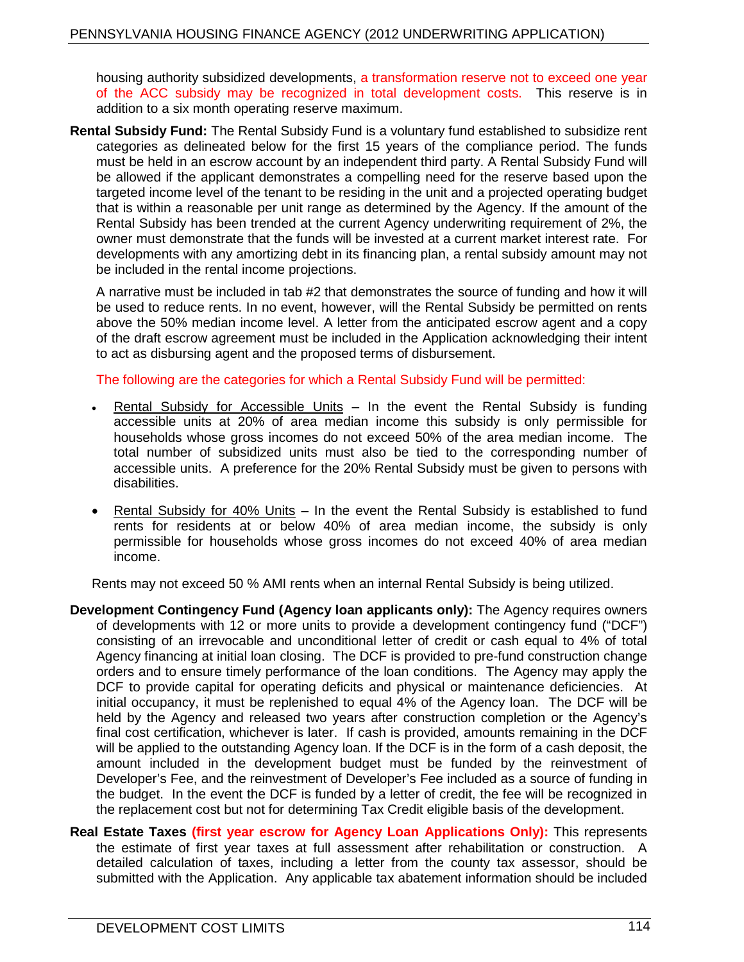housing authority subsidized developments, a transformation reserve not to exceed one year of the ACC subsidy may be recognized in total development costs. This reserve is in addition to a six month operating reserve maximum.

**Rental Subsidy Fund:** The Rental Subsidy Fund is a voluntary fund established to subsidize rent categories as delineated below for the first 15 years of the compliance period. The funds must be held in an escrow account by an independent third party. A Rental Subsidy Fund will be allowed if the applicant demonstrates a compelling need for the reserve based upon the targeted income level of the tenant to be residing in the unit and a projected operating budget that is within a reasonable per unit range as determined by the Agency. If the amount of the Rental Subsidy has been trended at the current Agency underwriting requirement of 2%, the owner must demonstrate that the funds will be invested at a current market interest rate. For developments with any amortizing debt in its financing plan, a rental subsidy amount may not be included in the rental income projections.

A narrative must be included in tab #2 that demonstrates the source of funding and how it will be used to reduce rents. In no event, however, will the Rental Subsidy be permitted on rents above the 50% median income level. A letter from the anticipated escrow agent and a copy of the draft escrow agreement must be included in the Application acknowledging their intent to act as disbursing agent and the proposed terms of disbursement.

The following are the categories for which a Rental Subsidy Fund will be permitted:

- Rental Subsidy for Accessible Units  $-$  In the event the Rental Subsidy is funding accessible units at 20% of area median income this subsidy is only permissible for households whose gross incomes do not exceed 50% of the area median income. The total number of subsidized units must also be tied to the corresponding number of accessible units. A preference for the 20% Rental Subsidy must be given to persons with disabilities.
- Rental Subsidy for 40% Units In the event the Rental Subsidy is established to fund rents for residents at or below 40% of area median income, the subsidy is only permissible for households whose gross incomes do not exceed 40% of area median income.

Rents may not exceed 50 % AMI rents when an internal Rental Subsidy is being utilized.

- **Development Contingency Fund (Agency loan applicants only):** The Agency requires owners of developments with 12 or more units to provide a development contingency fund ("DCF") consisting of an irrevocable and unconditional letter of credit or cash equal to 4% of total Agency financing at initial loan closing. The DCF is provided to pre-fund construction change orders and to ensure timely performance of the loan conditions. The Agency may apply the DCF to provide capital for operating deficits and physical or maintenance deficiencies. At initial occupancy, it must be replenished to equal 4% of the Agency loan. The DCF will be held by the Agency and released two years after construction completion or the Agency's final cost certification, whichever is later. If cash is provided, amounts remaining in the DCF will be applied to the outstanding Agency loan. If the DCF is in the form of a cash deposit, the amount included in the development budget must be funded by the reinvestment of Developer's Fee, and the reinvestment of Developer's Fee included as a source of funding in the budget. In the event the DCF is funded by a letter of credit, the fee will be recognized in the replacement cost but not for determining Tax Credit eligible basis of the development.
- **Real Estate Taxes (first year escrow for Agency Loan Applications Only):** This represents the estimate of first year taxes at full assessment after rehabilitation or construction. A detailed calculation of taxes, including a letter from the county tax assessor, should be submitted with the Application. Any applicable tax abatement information should be included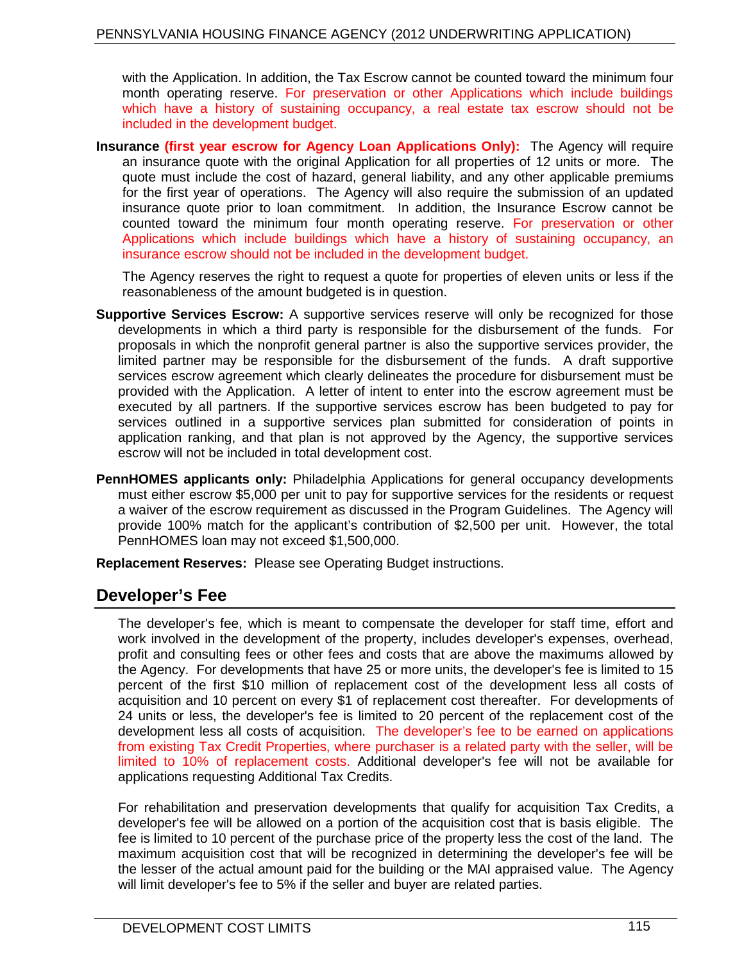with the Application. In addition, the Tax Escrow cannot be counted toward the minimum four month operating reserve. For preservation or other Applications which include buildings which have a history of sustaining occupancy, a real estate tax escrow should not be included in the development budget.

**Insurance (first year escrow for Agency Loan Applications Only):** The Agency will require an insurance quote with the original Application for all properties of 12 units or more. The quote must include the cost of hazard, general liability, and any other applicable premiums for the first year of operations. The Agency will also require the submission of an updated insurance quote prior to loan commitment. In addition, the Insurance Escrow cannot be counted toward the minimum four month operating reserve. For preservation or other Applications which include buildings which have a history of sustaining occupancy, an insurance escrow should not be included in the development budget.

The Agency reserves the right to request a quote for properties of eleven units or less if the reasonableness of the amount budgeted is in question.

- **Supportive Services Escrow:** A supportive services reserve will only be recognized for those developments in which a third party is responsible for the disbursement of the funds. For proposals in which the nonprofit general partner is also the supportive services provider, the limited partner may be responsible for the disbursement of the funds. A draft supportive services escrow agreement which clearly delineates the procedure for disbursement must be provided with the Application. A letter of intent to enter into the escrow agreement must be executed by all partners. If the supportive services escrow has been budgeted to pay for services outlined in a supportive services plan submitted for consideration of points in application ranking, and that plan is not approved by the Agency, the supportive services escrow will not be included in total development cost.
- **PennHOMES applicants only:** Philadelphia Applications for general occupancy developments must either escrow \$5,000 per unit to pay for supportive services for the residents or request a waiver of the escrow requirement as discussed in the Program Guidelines. The Agency will provide 100% match for the applicant's contribution of \$2,500 per unit. However, the total PennHOMES loan may not exceed \$1,500,000.

**Replacement Reserves:** Please see Operating Budget instructions.

## **Developer's Fee**

The developer's fee, which is meant to compensate the developer for staff time, effort and work involved in the development of the property, includes developer's expenses, overhead, profit and consulting fees or other fees and costs that are above the maximums allowed by the Agency. For developments that have 25 or more units, the developer's fee is limited to 15 percent of the first \$10 million of replacement cost of the development less all costs of acquisition and 10 percent on every \$1 of replacement cost thereafter. For developments of 24 units or less, the developer's fee is limited to 20 percent of the replacement cost of the development less all costs of acquisition. The developer's fee to be earned on applications from existing Tax Credit Properties, where purchaser is a related party with the seller, will be limited to 10% of replacement costs. Additional developer's fee will not be available for applications requesting Additional Tax Credits.

For rehabilitation and preservation developments that qualify for acquisition Tax Credits, a developer's fee will be allowed on a portion of the acquisition cost that is basis eligible. The fee is limited to 10 percent of the purchase price of the property less the cost of the land. The maximum acquisition cost that will be recognized in determining the developer's fee will be the lesser of the actual amount paid for the building or the MAI appraised value. The Agency will limit developer's fee to 5% if the seller and buyer are related parties.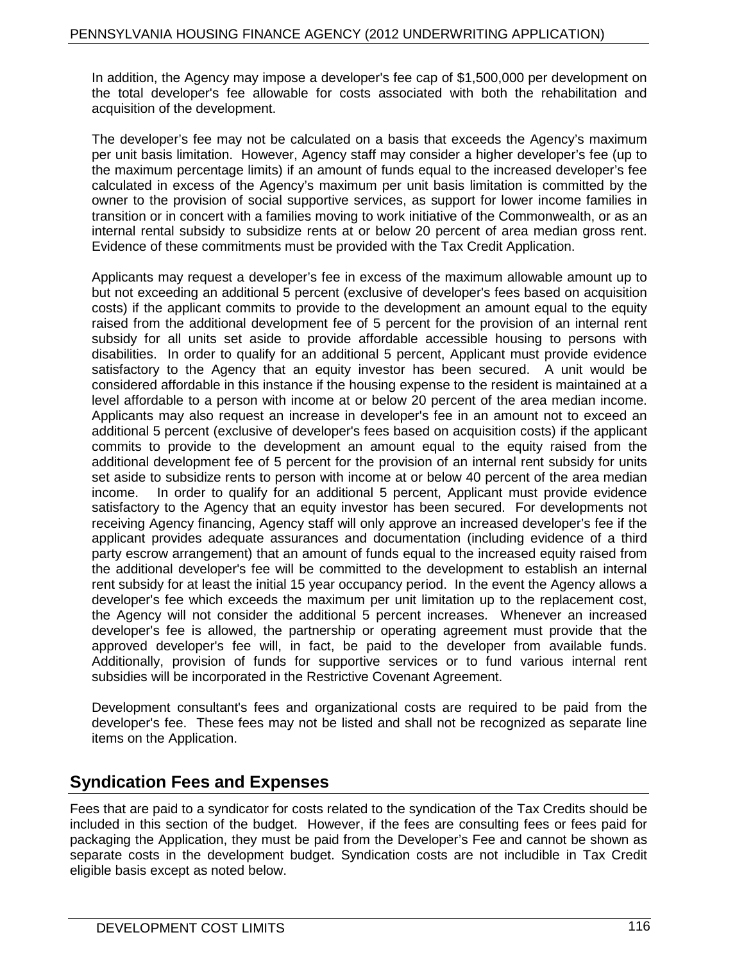In addition, the Agency may impose a developer's fee cap of \$1,500,000 per development on the total developer's fee allowable for costs associated with both the rehabilitation and acquisition of the development.

The developer's fee may not be calculated on a basis that exceeds the Agency's maximum per unit basis limitation. However, Agency staff may consider a higher developer's fee (up to the maximum percentage limits) if an amount of funds equal to the increased developer's fee calculated in excess of the Agency's maximum per unit basis limitation is committed by the owner to the provision of social supportive services, as support for lower income families in transition or in concert with a families moving to work initiative of the Commonwealth, or as an internal rental subsidy to subsidize rents at or below 20 percent of area median gross rent. Evidence of these commitments must be provided with the Tax Credit Application.

Applicants may request a developer's fee in excess of the maximum allowable amount up to but not exceeding an additional 5 percent (exclusive of developer's fees based on acquisition costs) if the applicant commits to provide to the development an amount equal to the equity raised from the additional development fee of 5 percent for the provision of an internal rent subsidy for all units set aside to provide affordable accessible housing to persons with disabilities. In order to qualify for an additional 5 percent, Applicant must provide evidence satisfactory to the Agency that an equity investor has been secured. A unit would be considered affordable in this instance if the housing expense to the resident is maintained at a level affordable to a person with income at or below 20 percent of the area median income. Applicants may also request an increase in developer's fee in an amount not to exceed an additional 5 percent (exclusive of developer's fees based on acquisition costs) if the applicant commits to provide to the development an amount equal to the equity raised from the additional development fee of 5 percent for the provision of an internal rent subsidy for units set aside to subsidize rents to person with income at or below 40 percent of the area median income. In order to qualify for an additional 5 percent, Applicant must provide evidence satisfactory to the Agency that an equity investor has been secured. For developments not receiving Agency financing, Agency staff will only approve an increased developer's fee if the applicant provides adequate assurances and documentation (including evidence of a third party escrow arrangement) that an amount of funds equal to the increased equity raised from the additional developer's fee will be committed to the development to establish an internal rent subsidy for at least the initial 15 year occupancy period. In the event the Agency allows a developer's fee which exceeds the maximum per unit limitation up to the replacement cost, the Agency will not consider the additional 5 percent increases. Whenever an increased developer's fee is allowed, the partnership or operating agreement must provide that the approved developer's fee will, in fact, be paid to the developer from available funds. Additionally, provision of funds for supportive services or to fund various internal rent subsidies will be incorporated in the Restrictive Covenant Agreement.

Development consultant's fees and organizational costs are required to be paid from the developer's fee. These fees may not be listed and shall not be recognized as separate line items on the Application.

## **Syndication Fees and Expenses**

Fees that are paid to a syndicator for costs related to the syndication of the Tax Credits should be included in this section of the budget. However, if the fees are consulting fees or fees paid for packaging the Application, they must be paid from the Developer's Fee and cannot be shown as separate costs in the development budget. Syndication costs are not includible in Tax Credit eligible basis except as noted below.